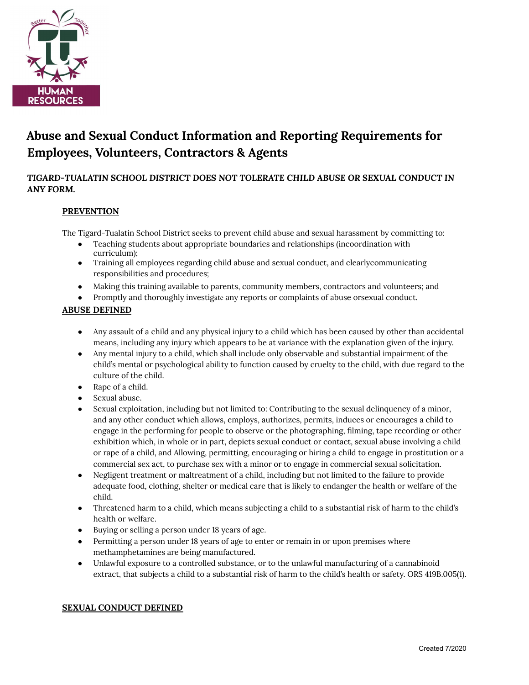

# **Abuse and Sexual Conduct Information and Reporting Requirements for Employees, Volunteers, Contractors & Agents**

## *TIGARD-TUALATIN SCHOOL DISTRICT DOES NOT TOLERATE CHILD ABUSE OR SEXUAL CONDUCT IN ANY FORM.*

## **PREVENTION**

The Tigard-Tualatin School District seeks to prevent child abuse and sexual harassment by committing to:

- Teaching students about appropriate boundaries and relationships (incoordination with curriculum);
- Training all employees regarding child abuse and sexual conduct, and clearlycommunicating responsibilities and procedures;
- Making this training available to parents, community members, contractors and volunteers; and
- Promptly and thoroughly investigate any reports or complaints of abuse orsexual conduct.

## **ABUSE DEFINED**

- Any assault of a child and any physical injury to a child which has been caused by other than accidental means, including any injury which appears to be at variance with the explanation given of the injury.
- Any mental injury to a child, which shall include only observable and substantial impairment of the child's mental or psychological ability to function caused by cruelty to the child, with due regard to the culture of the child.
- Rape of a child.
- Sexual abuse.
- Sexual exploitation, including but not limited to: Contributing to the sexual delinquency of a minor, and any other conduct which allows, employs, authorizes, permits, induces or encourages a child to engage in the performing for people to observe or the photographing, filming, tape recording or other exhibition which, in whole or in part, depicts sexual conduct or contact, sexual abuse involving a child or rape of a child, and Allowing, permitting, encouraging or hiring a child to engage in prostitution or a commercial sex act, to purchase sex with a minor or to engage in commercial sexual solicitation.
- Negligent treatment or maltreatment of a child, including but not limited to the failure to provide adequate food, clothing, shelter or medical care that is likely to endanger the health or welfare of the child.
- Threatened harm to a child, which means subjecting a child to a substantial risk of harm to the child's health or welfare.
- Buying or selling a person under 18 years of age.
- Permitting a person under 18 years of age to enter or remain in or upon premises where methamphetamines are being manufactured.
- Unlawful exposure to a controlled substance, or to the unlawful manufacturing of a cannabinoid extract, that subjects a child to a substantial risk of harm to the child's health or safety. ORS 419B.005(1).

## **SEXUAL CONDUCT DEFINED**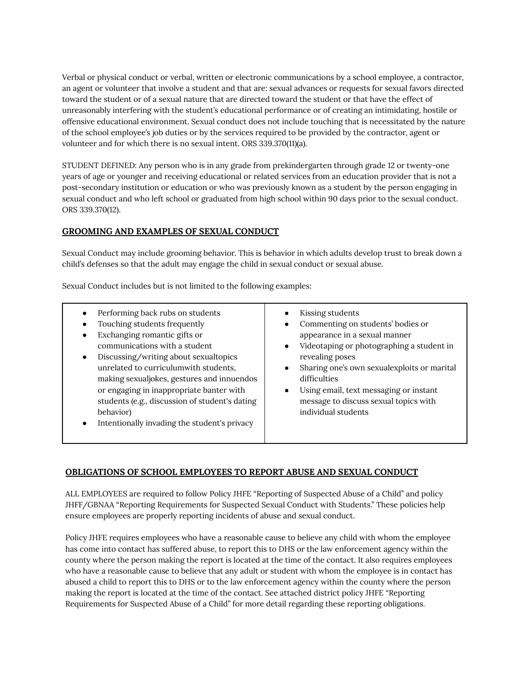Verbal or physical conduct or verbal, written or electronic communications by a school employee, a contractor, an agent or volunteer that involve a student and that are: sexual advances or requests for sexual favors directed toward the student or of a sexual nature that are directed toward the student or that have the effect of unreasonably interfering with the student's educational performance or of creating an intimidating, hostile or offensive educational environment. Sexual conduct does not include touching that is necessitated by the nature of the school employee's job duties or by the services required to be provided by the contractor, agent or volunteer and for which there is no sexual intent. ORS 339.370(11)(a).

STUDENT DEFINED: Any person who is in any grade from prekindergarten through grade 12 or twenty-one years of age or younger and receiving educational or related services from an education provider that is not a post-secondary institution or education or who was previously known as a student by the person engaging in sexual conduct and who left school or graduated from high school within 90 days prior to the sexual conduct. ORS 339.370(12).

## **GROOMING AND EXAMPLES OF SEXUAL CONDUCT**

Sexual Conduct may include grooming behavior. This is behavior in which adults develop trust to break down a child's defenses so that the adult may engage the child in sexual conduct or sexual abuse.

Sexual Conduct includes but is not limited to the following examples:

|--|

## **OBLIGATIONS OF SCHOOL EMPLOYEES TO REPORT ABUSE AND SEXUAL CONDUCT**

ALL EMPLOYEES are required to follow Policy JHFE "Reporting of Suspected Abuse of a Child" and policy JHFF/GBNAA "Reporting Requirements for Suspected Sexual Conduct with Students." These policies help ensure employees are properly reporting incidents of abuse and sexual conduct.

Policy JHFE requires employees who have a reasonable cause to believe any child with whom the employee has come into contact has suffered abuse, to report this to DHS or the law enforcement agency within the county where the person making the report is located at the time of the contact. It also requires employees who have a reasonable cause to believe that any adult or student with whom the employee is in contact has abused a child to report this to DHS or to the law enforcement agency within the county where the person making the report is located at the time of the contact. See attached district policy JHFE "Reporting Requirements for Suspected Abuse of a Child" for more detail regarding these reporting obligations.